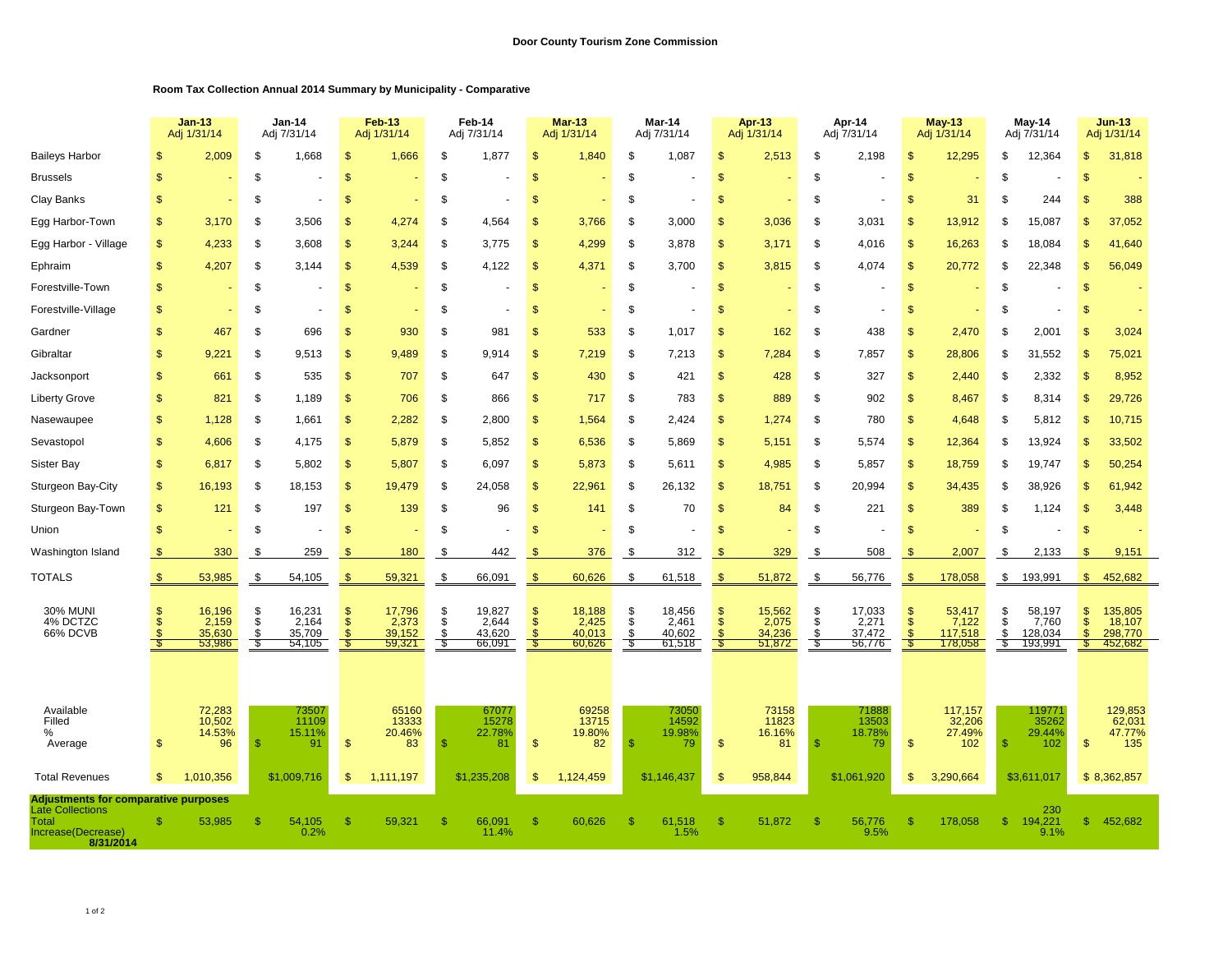## **Room Tax Collection Annual 2014 Summary by Municipality - Comparative**

|                                                                        |                       | $Jan-13$<br>Adj 1/31/14 |               | <b>Jan-14</b><br>Adj 7/31/14 |                                | Feb-13<br>Adj 1/31/14 |              | Feb-14<br>Adj 7/31/14 |                     | <b>Mar-13</b><br>Adj 1/31/14 |            | Mar-14<br>Adj 7/31/14 |                     | Apr-13<br>Adj 1/31/14 |               | Apr-14<br>Adj 7/31/14 |               | $May-13$<br>Adj 1/31/14 |                     | May-14<br>Adj 7/31/14 |                                 | $Jun-13$<br>Adj 1/31/14 |  |
|------------------------------------------------------------------------|-----------------------|-------------------------|---------------|------------------------------|--------------------------------|-----------------------|--------------|-----------------------|---------------------|------------------------------|------------|-----------------------|---------------------|-----------------------|---------------|-----------------------|---------------|-------------------------|---------------------|-----------------------|---------------------------------|-------------------------|--|
| <b>Baileys Harbor</b>                                                  |                       | 2,009                   | \$            | 1,668                        | $\mathcal{S}$                  | 1,666                 | \$           | 1,877                 | $\mathcal{S}$       | 1,840                        | S          | 1,087                 | \$                  | 2,513                 | \$            | 2,198                 | \$            | 12,295                  | \$                  | 12,364                | $\mathbb{S}$                    | 31,818                  |  |
| <b>Brussels</b>                                                        | \$                    |                         | \$            |                              | $\mathcal{S}$                  |                       | \$           |                       | $\mathcal{S}$       |                              | \$         |                       | \$                  |                       | \$            |                       | $\mathcal{S}$ |                         | S                   |                       | <sup>\$</sup>                   |                         |  |
| Clay Banks                                                             |                       |                         | \$            |                              | \$                             |                       | \$           |                       | $\mathcal{S}$       |                              | \$         |                       | \$                  |                       | \$            |                       | \$            | 31                      | S                   | 244                   | $\mathbf{s}$                    | 388                     |  |
| Egg Harbor-Town                                                        | S                     | 3,170                   | \$            | 3,506                        | \$                             | 4,274                 | S            | 4,564                 | \$                  | 3,766                        | S          | 3,000                 | \$                  | 3,036                 | S             | 3,031                 | <sup>\$</sup> | 13,912                  | S                   | 15,087                | <b>S</b>                        | 37,052                  |  |
| Egg Harbor - Village                                                   | \$.                   | 4,233                   | \$            | 3,608                        | \$                             | 3,244                 | \$.          | 3.775                 | $\mathbf{s}$        | 4,299                        | \$         | 3,878                 | \$                  | 3,171                 | \$            | 4,016                 | \$            | 16,263                  | \$.                 | 18,084                | $\mathfrak{L}$                  | 41,640                  |  |
| Ephraim                                                                | $\mathbf{s}$          | 4,207                   | \$            | 3,144                        | <sup>\$</sup>                  | 4,539                 | S.           | 4,122                 | $\mathfrak{s}$      | 4,371                        | \$         | 3.700                 | $\mathfrak{s}$      | 3,815                 | \$            | 4.074                 | \$            | 20,772                  | \$.                 | 22,348                | $\mathfrak{L}$                  | 56,049                  |  |
| Forestville-Town                                                       | \$.                   |                         | \$            |                              | <sup>\$</sup>                  |                       | \$           |                       | <sup>\$</sup>       |                              | S          |                       | $\mathfrak{s}$      |                       | \$            |                       | \$            |                         | S                   |                       | <sup>\$</sup>                   |                         |  |
| Forestville-Village                                                    | \$.                   |                         | S             |                              | \$                             |                       | \$           |                       | \$                  |                              | \$         |                       | $\mathbb{S}$        |                       | \$            |                       | \$            |                         | S                   |                       | \$                              |                         |  |
| Gardner                                                                | \$                    | 467                     | \$            | 696                          | \$                             | 930                   | \$           | 981                   | S                   | 533                          | \$         | 1,017                 | \$                  | 162                   | \$            | 438                   | \$            | 2,470                   | \$                  | 2,001                 | \$                              | 3,024                   |  |
| Gibraltar                                                              | \$.                   | 9,221                   | \$            | 9,513                        | $\mathcal{S}$                  | 9,489                 | \$           | 9,914                 | $\mathcal{S}$       | 7,219                        | \$         | 7,213                 | \$                  | 7,284                 | \$            | 7,857                 | $\mathcal{S}$ | 28,806                  | S                   | 31,552                | $\mathfrak{s}$                  | 75,021                  |  |
| Jacksonport                                                            | \$                    | 661                     | \$            | 535                          | $\mathcal{S}$                  | 707                   | \$           | 647                   | $\mathcal{S}$       | 430                          | \$         | 421                   | $\mathfrak{s}$      | 428                   | \$            | 327                   | $\mathcal{S}$ | 2,440                   | S                   | 2,332                 | $\mathfrak{s}$                  | 8,952                   |  |
| <b>Liberty Grove</b>                                                   | \$                    | 821                     | \$            | 1,189                        | $\mathcal{S}$                  | 706                   | \$           | 866                   | $\mathcal{S}$       | 717                          | \$         | 783                   | \$                  | 889                   | \$            | 902                   | \$            | 8,467                   | S                   | 8,314                 | $\mathbb{S}$                    | 29,726                  |  |
| Nasewaupee                                                             | \$                    | 1,128                   | \$            | 1,661                        | \$                             | 2,282                 | \$           | 2,800                 | $\mathcal{S}$       | 1,564                        | \$         | 2,424                 | \$                  | 1,274                 | <sup>\$</sup> | 780                   | \$            | 4,648                   | \$.                 | 5,812                 | \$                              | 10,715                  |  |
| Sevastopol                                                             | \$.                   | 4,606                   | \$            | 4,175                        | $\mathcal{S}$                  | 5,879                 | \$           | 5,852                 | $\sqrt{2}$          | 6,536                        | \$         | 5,869                 | \$                  | 5,151                 | \$            | 5,574                 | $\mathcal{S}$ | 12,364                  | S                   | 13,924                | $\sqrt[6]{3}$                   | 33,502                  |  |
| Sister Bay                                                             | \$                    | 6,817                   | \$            | 5,802                        | $\frac{1}{2}$                  | 5,807                 | \$           | 6,097                 | $\mathcal{S}$       | 5,873                        | \$         | 5,611                 | \$                  | 4,985                 | \$            | 5,857                 | $\mathcal{S}$ | 18,759                  | S                   | 19,747                | $\mathfrak{s}$                  | 50,254                  |  |
| Sturgeon Bay-City                                                      | \$                    | 16,193                  | \$            | 18,153                       | $\mathcal{S}$                  | 19,479                | \$           | 24,058                | $\mathcal{S}$       | 22,961                       | \$         | 26,132                | \$                  | 18,751                | \$            | 20,994                | \$            | 34,435                  | S                   | 38,926                | <sup>\$</sup>                   | 61,942                  |  |
| Sturgeon Bay-Town                                                      | $\mathbf{s}$          | 121                     | \$            | 197                          | $\mathcal{S}$                  | 139                   | \$           | 96                    | $\mathcal{S}$       | 141                          | \$         | 70                    | $\mathfrak{s}$      | 84                    | \$            | 221                   | \$            | 389                     | \$                  | 1,124                 | <b>S</b>                        | 3,448                   |  |
| Union                                                                  | \$.                   |                         | \$            |                              | <sup>\$</sup>                  |                       | \$           |                       | $\mathcal{S}$       |                              | S          |                       | \$                  |                       | \$            |                       | \$            |                         | S                   |                       | <b>S</b>                        |                         |  |
| Washington Island                                                      | -S                    | 330                     | \$            | 259                          | S                              | 180                   | \$.          | 442                   | \$                  | 376                          | \$         | 312                   | -\$                 | 329                   | S             | 508                   | \$            | 2,007                   | \$                  | 2,133                 | <b>S</b>                        | 9,151                   |  |
| <b>TOTALS</b>                                                          | \$.                   | 53,985                  | \$            | 54,105                       | <sup>\$</sup>                  | 59,321                | \$           | 66,091                | $\sqrt[6]{3}$       | 60,626                       | \$         | 61,518                | $\sqrt[6]{3}$       | 51,872                | \$            | 56,776                | $\frac{1}{2}$ | 178,058                 |                     | \$ 193,991            | $\mathbb{S}$                    | 452,682                 |  |
|                                                                        |                       |                         |               |                              |                                |                       |              |                       |                     |                              |            |                       |                     |                       |               |                       |               |                         |                     |                       |                                 |                         |  |
| <b>30% MUNI</b><br>4% DCTZC                                            | \$<br>\$.             | 16,196<br>2,159         | \$<br>\$      | 16,231<br>2,164              | $\mathcal{S}$<br>$\mathsf{\$}$ | 17,796<br>2,373       | \$<br>\$     | 19,827<br>2,644       | \$<br>$\mathcal{F}$ | 18,188<br>2,425              | \$<br>\$   | 18,456<br>2,461       | \$<br>$\ddot{s}$    | 15,562<br>2,075       | \$<br>\$      | 17,033<br>2,271       | S<br>\$       | 53,417<br>7,122         | \$                  | 58,197<br>7,760       | $\sqrt[6]{3}$<br>$\mathfrak{s}$ | 135,805<br>18,107       |  |
| 66% DCVB                                                               | $\mathcal{F}$<br>- \$ | 35,630<br>53,986        | S.<br>\$      | 35.709<br>54,105             | -\$<br>- \$                    | 39.152<br>59,321      | \$<br>S      | 43,620<br>66,091      |                     | 40.013<br>60,626             | \$<br>- \$ | 40,602<br>61,518      | $\mathcal{S}$<br>S. | 34,236<br>51,872      | \$<br>- \$    | 37,472<br>56,776      | - \$          | 117,518<br>178,058      | Ŝ.<br>$\frac{2}{3}$ | 128,034<br>193,991    | $\mathbf{s}$<br>S               | 298.770<br>452,682      |  |
|                                                                        |                       |                         |               |                              |                                |                       |              |                       |                     |                              |            |                       |                     |                       |               |                       |               |                         |                     |                       |                                 |                         |  |
|                                                                        |                       |                         |               |                              |                                |                       |              |                       |                     |                              |            |                       |                     |                       |               |                       |               |                         |                     |                       |                                 |                         |  |
| Available                                                              |                       | 72,283                  |               | 73507                        |                                | 65160                 |              | 67077                 |                     | 69258                        |            | 73050                 |                     | 73158                 |               | 71888                 |               | 117,157                 |                     | 119771                |                                 | 129,853<br>62,031       |  |
| Filled<br>%                                                            |                       | 10,502<br>14.53%        |               | 11109<br>15.11%              |                                | 13333<br>20.46%       |              | 15278<br>22.78%       |                     | 13715<br>19.80%              |            | 14592<br>19.98%       |                     | 11823<br>16.16%       |               | 13503<br>18.78%       |               | 32,206<br>27.49%        |                     | 35262<br>29.44%       |                                 | 47.77%                  |  |
| Average                                                                | \$.                   | 96                      | $\mathcal{S}$ | 91                           | $\mathbf{\$}$                  | 83                    | $\mathbf{s}$ | 81                    | $\mathfrak{s}$      | 82                           | \$         | 79                    | $\mathfrak{s}$      | 81                    | \$            | 79                    | $\mathcal{S}$ | 102                     | $\mathbb{S}$        | 102                   | $\mathbf{s}$                    | 135                     |  |
| <b>Total Revenues</b>                                                  | -S                    | 1,010,356               |               | \$1,009,716                  | $\mathcal{S}$                  | 1,111,197             |              | \$1,235,208           | <sup>\$</sup>       | 1,124,459                    |            | \$1,146,437           | $\mathfrak{s}$      | 958,844               |               | \$1,061,920           | \$            | 3,290,664               |                     | \$3,611,017           |                                 | \$8,362,857             |  |
| <b>Adjustments for comparative purposes</b><br><b>Late Collections</b> |                       |                         |               |                              |                                |                       |              |                       |                     |                              |            |                       |                     |                       |               |                       |               |                         |                     |                       |                                 |                         |  |
| Total<br>Increase(Decrease)<br>8/31/2014                               |                       | 53,985                  | S             | 54,105<br>0.2%               | S                              | 59,321                | -\$          | 66,091<br>11.4%       | -S                  | 60,626                       | -S         | 61,518<br>1.5%        | \$.                 | 51,872                | \$            | 56,776<br>9.5%        | \$            | 178,058                 | $\mathbb{S}$        | 194,221<br>9.1%       | $\mathbb{S}$                    | 452,682                 |  |